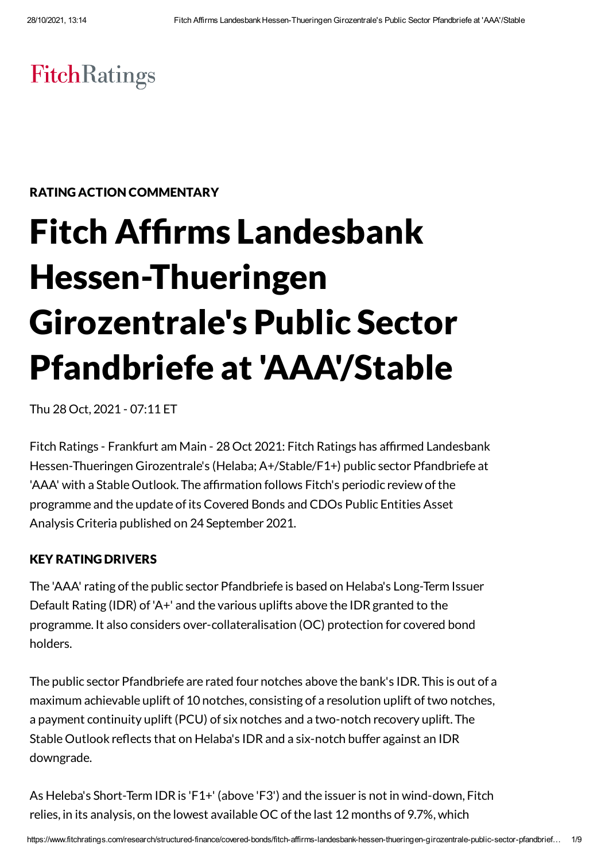# **FitchRatings**

# RATING ACTION COMMENTARY

# Fitch Affirms Landesbank Hessen-Thueringen Girozentrale's Public Sector Pfandbriefe at 'AAA'/Stable

Thu 28 Oct, 2021 - 07:11 ET

Fitch Ratings - Frankfurt am Main - 28 Oct 2021: Fitch Ratings has affirmed Landesbank Hessen-Thueringen Girozentrale's (Helaba; A+/Stable/F1+) public sector Pfandbriefe at 'AAA' with a Stable Outlook. The affirmation follows Fitch's periodic review of the programme and the update of its Covered Bonds and CDOs Public Entities Asset Analysis Criteria published on 24 September 2021.

# KEY RATING DRIVERS

The 'AAA' rating of the public sector Pfandbriefe is based on Helaba's Long-Term Issuer Default Rating (IDR) of'A+' and the various uplifts above the IDR granted to the programme. It also considers over-collateralisation (OC) protection for covered bond holders.

The public sector Pfandbriefe are rated four notches above the bank's IDR. This is out of a maximum achievable uplift of 10 notches, consisting of a resolution uplift of two notches, a payment continuity uplift (PCU) of six notches and a two-notch recovery uplift. The Stable Outlook reflects that on Helaba's IDR and a six-notch buffer against an IDR downgrade.

As Heleba's Short-Term IDR is 'F1+' (above 'F3') and the issuer is not in wind-down, Fitch relies, in its analysis, on the lowest available OC ofthe last 12 months of 9.7%, which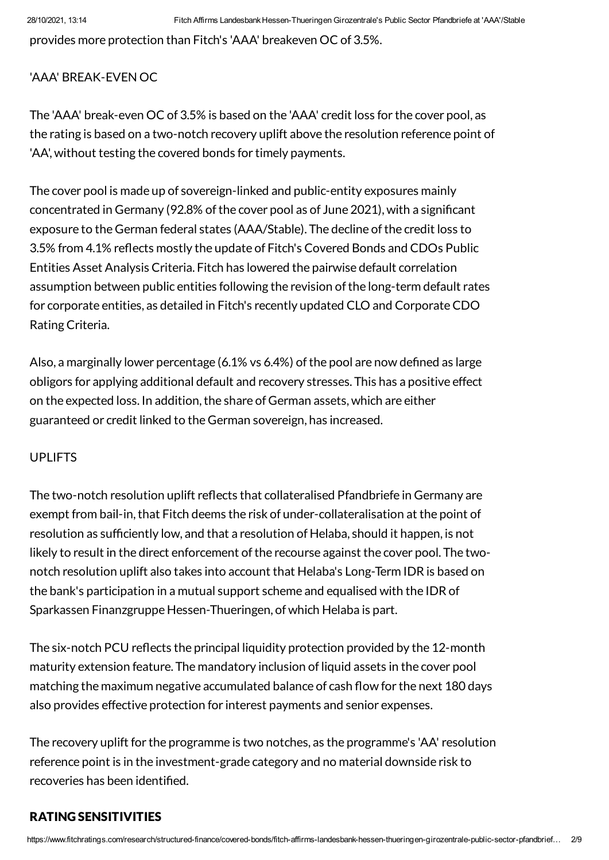provides more protection than Fitch's 'AAA' breakeven OC of 3.5%.

#### 'AAA' BREAK-EVEN OC

The 'AAA' break-even OC of 3.5% is based on the 'AAA' credit loss for the cover pool, as the rating is based on a two-notch recovery uplift above the resolution reference point of 'AA', without testing the covered bonds for timely payments.

The cover pool is made up of sovereign-linked and public-entity exposures mainly concentrated in Germany (92.8% of the cover pool as of June 2021), with a significant exposure to the German federal states (AAA/Stable). The decline of the credit loss to 3.5% from 4.1% reflects mostly the update of Fitch's Covered Bonds and CDOs Public Entities Asset Analysis Criteria. Fitch has lowered the pairwise default correlation assumption between public entities following the revision ofthe long-term default rates for corporate entities, as detailed in Fitch's recently updated CLO and CorporateCDO Rating Criteria.

Also, a marginally lower percentage (6.1% vs 6.4%) of the pool are now defined as large obligors for applying additional default and recovery stresses. This has a positive effect on the expected loss. In addition, the share of German assets, which are either guaranteed or credit linked to the German sovereign, has increased.

#### UPLIFTS

The two-notch resolution uplift reflects that collateralised Pfandbriefe in Germany are exempt from bail-in, that Fitch deems the risk of under-collateralisation at the point of resolution as sufficiently low, and that a resolution of Helaba, should it happen, is not likely to result in the direct enforcement of the recourse against the cover pool. The twonotch resolution uplift also takes into account that Helaba's Long-Term IDR is based on the bank's participation in a mutual support scheme and equalised with the IDR of Sparkassen Finanzgruppe Hessen-Thueringen, of which Helaba is part.

The six-notch PCU reflects the principal liquidity protection provided by the 12-month maturity extension feature. The mandatory inclusion of liquid assets in the cover pool matching the maximum negative accumulated balance of cash flow for the next 180 days also provides effective protection for interest payments and senior expenses.

The recovery uplift for the programme is two notches, as the programme's 'AA' resolution reference point is in the investment-grade category and no material downside risk to recoveries has been identified.

# RATING SENSITIVITIES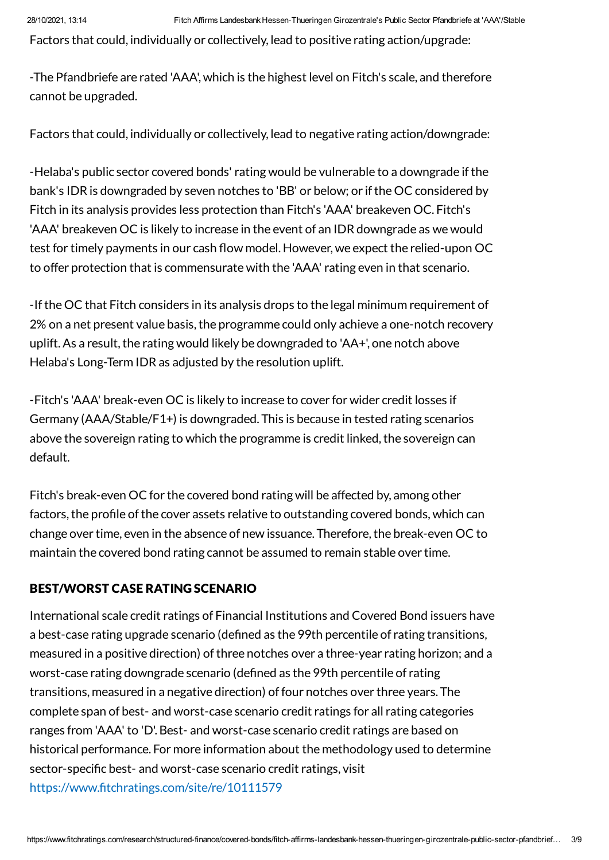Factors that could, individually or collectively, lead to positive rating action/upgrade:

-The Pfandbriefe are rated 'AAA', which is the highest level on Fitch's scale, and therefore cannot be upgraded.

Factors that could, individually or collectively, lead to negative rating action/downgrade:

-Helaba's public sector covered bonds' rating would be vulnerable to a downgrade if the bank's IDR is downgraded by seven notches to 'BB' or below; or if the OC considered by Fitch in its analysis provides less protection than Fitch's 'AAA' breakeven OC. Fitch's 'AAA' breakeven OC is likely to increase in the event of an IDR downgrade as we would test for timely payments in our cash flow model. However, we expect the relied-upon OC to offer protection that is commensurate with the 'AAA' rating even in that scenario.

-Ifthe OC that Fitch considers in its analysis drops to the legal minimum requirement of 2% on a net present value basis, the programme could only achieve a one-notch recovery uplift. As a result, the rating would likely be downgraded to 'AA+', one notch above Helaba's Long-Term IDR as adjusted by the resolution uplift.

-Fitch's 'AAA' break-even OC is likely to increase to cover for wider credit losses if Germany (AAA/Stable/F1+) is downgraded. This is because in tested rating scenarios above the sovereign rating to which the programme is credit linked, the sovereign can default.

Fitch's break-even OC for the covered bond rating will be affected by, among other factors, the profile of the cover assets relative to outstanding covered bonds, which can change over time, even in the absence of new issuance. Therefore, the break-even OC to maintain the covered bond rating cannot be assumed to remain stable over time.

# BEST/WORST CASE RATING SCENARIO

International scale credit ratings of Financial Institutions and Covered Bond issuers have a best-case rating upgrade scenario (defined as the 99th percentile of rating transitions, measured in a positive direction) of three notches over a three-year rating horizon; and a worst-case rating downgrade scenario (defined as the 99th percentile of rating transitions, measured in a negative direction) offour notches over three years. The complete span of best- and worst-case scenario credit ratings for all rating categories ranges from 'AAA' to 'D'. Best- and worst-case scenario credit ratings are based on historical performance. For more information about the methodology used to determine sector-specific best- and worst-case scenario credit ratings, visit <https://www.fitchratings.com/site/re/10111579>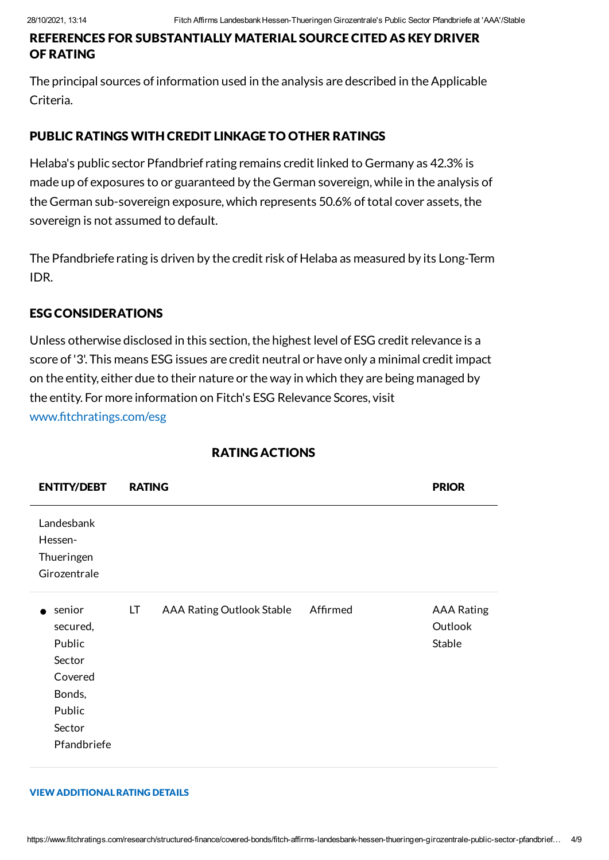# REFERENCES FOR SUBSTANTIALLY MATERIAL SOURCE CITED AS KEY DRIVER OF RATING

The principal sources of information used in the analysis are described in the Applicable Criteria.

# PUBLIC RATINGS WITH CREDIT LINKAGE TO OTHER RATINGS

Helaba's public sector Pfandbrief rating remains credit linked to Germany as 42.3% is made up of exposures to or guaranteed by the German sovereign, while in the analysis of the German sub-sovereign exposure, which represents 50.6% of total cover assets, the sovereign is not assumed to default.

The Pfandbriefe rating is driven by the credit risk of Helaba as measured by its Long-Term IDR.

# ESG CONSIDERATIONS

Unless otherwise disclosed in this section, the highest level of ESG credit relevance is a score of'3'. This means ESG issues are credit neutral or have only a minimal credit impact on the entity, either due to their nature or the way in which they are being managed by the entity. For more information on Fitch's ESG Relevance Scores, visit [www.fitchratings.com/esg](http://www.fitchratings.com/esg)

| <b>ENTITY/DEBT</b>                                                                             | <b>RATING</b> |                                  |          | <b>PRIOR</b>                           |
|------------------------------------------------------------------------------------------------|---------------|----------------------------------|----------|----------------------------------------|
| Landesbank<br>Hessen-<br>Thueringen<br>Girozentrale                                            |               |                                  |          |                                        |
| senior<br>secured,<br>Public<br>Sector<br>Covered<br>Bonds,<br>Public<br>Sector<br>Pfandbriefe | LT.           | <b>AAA Rating Outlook Stable</b> | Affirmed | <b>AAA Rating</b><br>Outlook<br>Stable |

# RATING ACTIONS

# VIEW ADDITIONALRATING DETAILS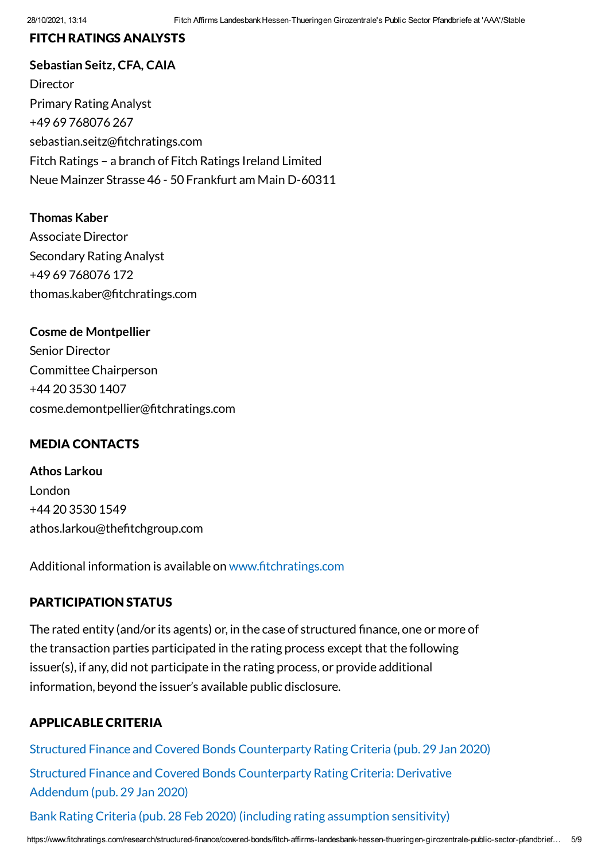# FITCH RATINGS ANALYSTS

#### **Sebastian Seitz, CFA, CAIA**

**Director** Primary Rating Analyst +49 69 768076 267 sebastian.seitz@fitchratings.com Fitch Ratings – a branch of Fitch Ratings Ireland Limited Neue Mainzer Strasse 46 - 50 Frankfurt am Main D-60311

#### **Thomas Kaber**

Associate Director Secondary Rating Analyst +49 69 768076 172 thomas.kaber@fitchratings.com

#### **Cosme de Montpellier**

Senior Director CommitteeChairperson +44 20 3530 1407 cosme.demontpellier@fitchratings.com

# MEDIA CONTACTS

**Athos Larkou** London +44 20 3530 1549 athos.larkou@thefitchgroup.com

Additional information is available on [www.fitchratings.com](http://www.fitchratings.com/)

# PARTICIPATION STATUS

The rated entity (and/or its agents) or, in the case of structured finance, one or more of the transaction parties participated in the rating process except that the following issuer(s), if any, did not participate in the rating process, or provide additional information, beyond the issuer's available public disclosure.

# APPLICABLE CRITERIA

Structured Finance and Covered Bonds [Counterparty](https://www.fitchratings.com/research/structured-finance/structured-finance-covered-bonds-counterparty-rating-criteria-29-01-2020) Rating Criteria (pub. 29 Jan 2020) Structured Finance and Covered Bonds [Counterparty](https://www.fitchratings.com/research/structured-finance/structured-finance-covered-bonds-counterparty-rating-criteria-derivative-addendum-29-01-2020) Rating Criteria: Derivative Addendum (pub. 29 Jan 2020) Bank Rating Criteria (pub. 28 Feb 2020) (including rating [assumption](https://www.fitchratings.com/research/banks/bank-rating-criteria-28-02-2020) sensitivity)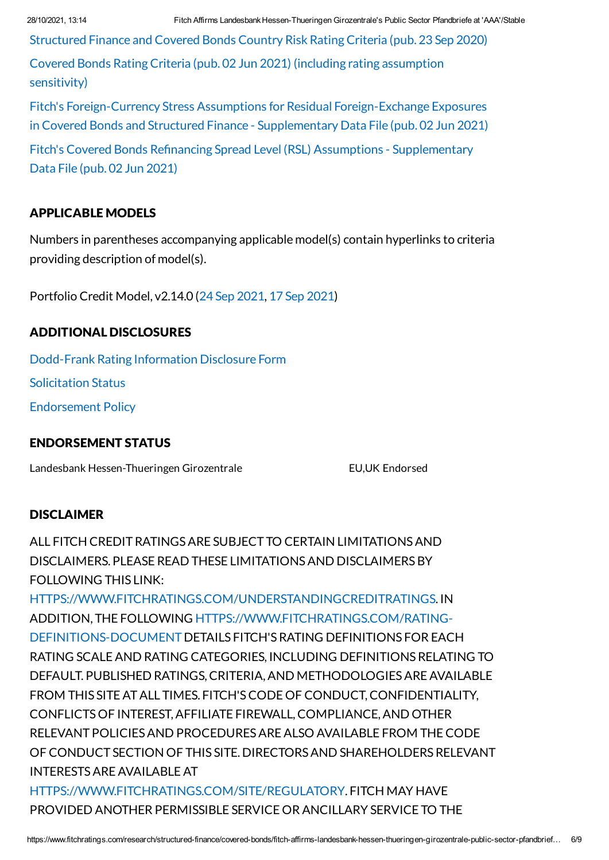[Structured](https://www.fitchratings.com/research/structured-finance/structured-finance-covered-bonds-country-risk-rating-criteria-23-09-2020) Finance and Covered Bonds Country Risk Rating Criteria (pub. 23 Sep 2020) Covered Bonds Rating Criteria (pub. 02 Jun 2021) (including rating [assumption](https://www.fitchratings.com/research/structured-finance/covered-bonds/covered-bonds-rating-criteria-02-06-2021) sensitivity)

Fitch's Foreign-Currency Stress Assumptions for Residual [Foreign-Exchange](https://www.fitchratings.com/research/structured-finance/covered-bonds/fitch-foreign-currency-stress-assumptions-for-residual-foreign-exchange-exposures-in-covered-bonds-structured-finance-supplementary-data-file-02-06-2021) Exposures in Covered Bonds and Structured Finance - Supplementary Data File (pub. 02 Jun 2021)

Fitch's Covered Bonds Refinancing Spread Level (RSL) Assumptions - [Supplementary](https://www.fitchratings.com/research/structured-finance/covered-bonds/fitch-covered-bonds-refinancing-spread-level-rsl-assumptions-supplementary-data-file-02-06-2021) Data File (pub. 02 Jun 2021)

# APPLICABLE MODELS

Numbers in parentheses accompanying applicable model(s) contain hyperlinks to criteria providing description of model(s).

Portfolio Credit Model, v2.14.0 (24 Sep [2021,](https://www.fitchratings.com/research/structured-finance/covered-bonds/covered-bonds-cdos-public-entities-asset-analysis-rating-criteria-24-09-2021) 17 Sep [2021\)](https://www.fitchratings.com/research/structured-finance/clos-corporate-cdos-rating-criteria-17-09-2021)

# ADDITIONAL DISCLOSURES

[Dodd-Frank](https://www.fitchratings.com/research/structured-finance/covered-bonds/fitch-affirms-landesbank-hessen-thueringen-girozentrale-public-sector-pfandbriefe-at-aaa-stable-28-10-2021/dodd-frank-disclosure) Rating Information Disclosure Form

Solicitation Status

[Endorsement](#page-8-0) Policy

# ENDORSEMENT STATUS

Landesbank Hessen-Thueringen Girozentrale EU,UK Endorsed

# DISCLAIMER

ALL FITCH CREDIT RATINGS ARE SUBJECT TO CERTAIN LIMITATIONS AND DISCLAIMERS. PLEASE READ THESE LIMITATIONSAND DISCLAIMERSBY FOLLOWING THIS LINK:

[HTTPS://WWW.FITCHRATINGS.COM/UNDERSTANDINGCREDITRATINGS.](https://www.fitchratings.com/UNDERSTANDINGCREDITRATINGS) IN ADDITION, THE FOLLOWING [HTTPS://WWW.FITCHRATINGS.COM/RATING-](https://www.fitchratings.com/rating-definitions-document)DEFINITIONS-DOCUMENT DETAILS FITCH'SRATING DEFINITIONS FOR EACH RATING SCALEAND RATING CATEGORIES, INCLUDING DEFINITIONSRELATING TO DEFAULT. PUBLISHED RATINGS,CRITERIA,AND METHODOLOGIESAREAVAILABLE FROM THIS SITE AT ALL TIMES. FITCH'S CODE OF CONDUCT, CONFIDENTIALITY, CONFLICTSOF INTEREST,AFFILIATE FIREWALL,COMPLIANCE,AND OTHER RELEVANT POLICIESAND PROCEDURESAREALSO AVAILABLE FROM THECODE OF CONDUCT SECTION OF THIS SITE. DIRECTORSAND SHAREHOLDERSRELEVANT INTERESTSAREAVAILABLEAT

[HTTPS://WWW.FITCHRATINGS.COM/SITE/REGULATORY](https://www.fitchratings.com/site/regulatory). FITCH MAY HAVE PROVIDED ANOTHER PERMISSIBLE SERVICE ORANCILLARY SERVICE TO THE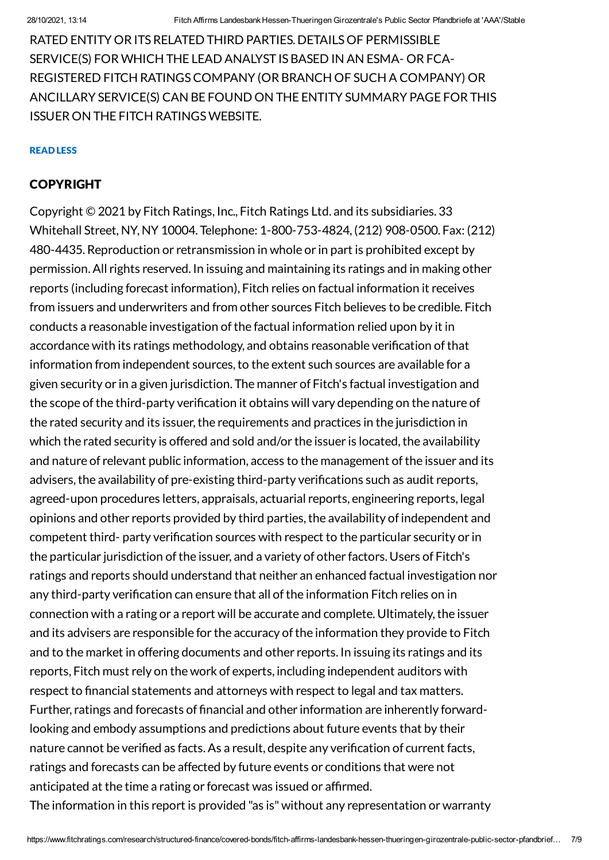RATED ENTITY OR ITSRELATED THIRD PARTIES. DETAILSOF PERMISSIBLE SERVICE(S) FORWHICH THE LEAD ANALYST ISBASED IN AN ESMA- OR FCA-REGISTERED FITCH RATINGSCOMPANY (OR BRANCH OF SUCH A COMPANY) OR ANCILLARY SERVICE(S) CAN BE FOUND ON THE ENTITY SUMMARY PAGE FOR THIS ISSUER ON THE FITCH RATINGSWEBSITE.

#### READ LESS

#### COPYRIGHT

Copyright © 2021 by Fitch Ratings, Inc., Fitch Ratings Ltd. and its subsidiaries. 33 Whitehall Street, NY, NY 10004. Telephone: 1-800-753-4824, (212) 908-0500. Fax: (212) 480-4435. Reproduction or retransmission in whole or in part is prohibited except by permission.All rights reserved. In issuing and maintaining its ratings and in making other reports (including forecast information), Fitch relies on factual information it receives from issuers and underwriters and from other sources Fitch believes to be credible. Fitch conducts a reasonable investigation of the factual information relied upon by it in accordance with its ratings methodology, and obtains reasonable verification of that information from independent sources, to the extent such sources are available for a given security or in a given jurisdiction. The manner of Fitch's factual investigation and the scope of the third-party verification it obtains will vary depending on the nature of the rated security and its issuer, the requirements and practices in the jurisdiction in which the rated security is offered and sold and/or the issuer is located, the availability and nature of relevant public information, access to the management of the issuer and its advisers, the availability of pre-existing third-party verifications such as audit reports, agreed-upon procedures letters, appraisals, actuarial reports, engineering reports, legal opinions and other reports provided by third parties, the availability of independent and competent third- party verification sources with respect to the particular security or in the particular jurisdiction of the issuer, and a variety of other factors. Users of Fitch's ratings and reports should understand that neither an enhanced factual investigation nor any third-party verification can ensure that all of the information Fitch relies on in connection with a rating or a report will be accurate and complete. Ultimately, the issuer and its advisers are responsible for the accuracy of the information they provide to Fitch and to the market in offering documents and other reports. In issuing its ratings and its reports, Fitch must rely on the work of experts, including independent auditors with respect to financial statements and attorneys with respect to legal and tax matters. Further, ratings and forecasts of financial and other information are inherently forwardlooking and embody assumptions and predictions about future events that by their nature cannot be verified as facts.As a result, despite any verification of current facts, ratings and forecasts can be affected by future events or conditions that were not anticipated at the time a rating or forecast was issued or affirmed. The information in this report is provided "as is" without any representation or warranty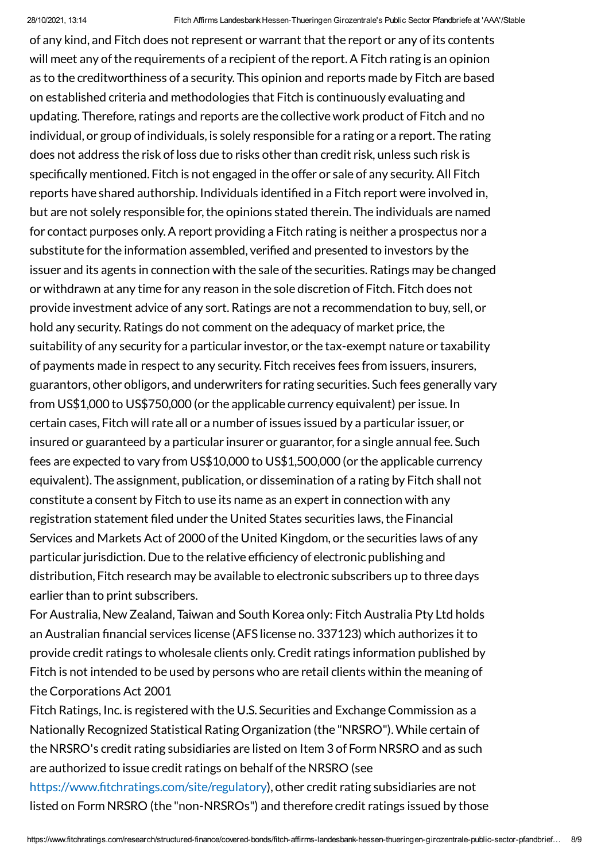of any kind, and Fitch does not represent or warrant that the report or any ofits contents will meet any of the requirements of a recipient of the report. A Fitch rating is an opinion as to the creditworthiness of a security. This opinion and reports made by Fitch are based on established criteria and methodologies that Fitch is continuously evaluating and updating. Therefore, ratings and reports are the collective work product of Fitch and no individual, or group of individuals, is solely responsible for a rating or a report. The rating does not address the risk of loss due to risks other than credit risk, unless such risk is specifically mentioned. Fitch is not engaged in the offer or sale of any security.All Fitch reports have shared authorship. Individuals identified in a Fitch report were involved in, but are not solely responsible for, the opinions stated therein. The individuals are named for contact purposes only. A report providing a Fitch rating is neither a prospectus nor a substitute for the information assembled, verified and presented to investors by the issuer and its agents in connection with the sale of the securities. Ratings may be changed or withdrawn at any time for any reason in the sole discretion of Fitch. Fitch does not provide investment advice of any sort. Ratings are not a recommendation to buy, sell, or hold any security. Ratings do not comment on the adequacy of market price, the suitability of any security for a particular investor, or the tax-exempt nature or taxability of payments made in respect to any security. Fitch receives fees from issuers, insurers, guarantors, other obligors, and underwriters for rating securities. Such fees generally vary from US\$1,000 to US\$750,000 (or the applicable currency equivalent) per issue. In certain cases, Fitch will rate all or a number of issues issued by a particular issuer, or insured or guaranteed by a particular insurer or guarantor, for a single annual fee. Such fees are expected to vary from US\$10,000 to US\$1,500,000 (or the applicable currency equivalent). The assignment, publication, or dissemination of a rating by Fitch shall not constitute a consent by Fitch to use its name as an expert in connection with any registration statement filed under the United States securities laws, the Financial Services and Markets Act of 2000 of the United Kingdom, or the securities laws of any particular jurisdiction. Due to the relative efficiency of electronic publishing and distribution, Fitch research may be available to electronic subscribers up to three days earlier than to print subscribers.

ForAustralia, New Zealand, Taiwan and South Korea only: Fitch Australia Pty Ltd holds an Australian financial services license (AFS license no. 337123) which authorizes it to provide credit ratings to wholesale clients only.Credit ratings information published by Fitch is not intended to be used by persons who are retail clients within the meaning of theCorporations Act 2001

Fitch Ratings, Inc. is registered with the U.S. Securities and Exchange Commission as a Nationally Recognized Statistical Rating Organization (the "NRSRO").While certain of the NRSRO's credit rating subsidiaries are listed on Item 3 of Form NRSRO and as such are authorized to issue credit ratings on behalf of the NRSRO (see

[https://www.fitchratings.com/site/regulatory\)](https://www.fitchratings.com/site/regulatory), other credit rating subsidiaries are not listed on Form NRSRO (the "non-NRSROs") and therefore credit ratings issued by those